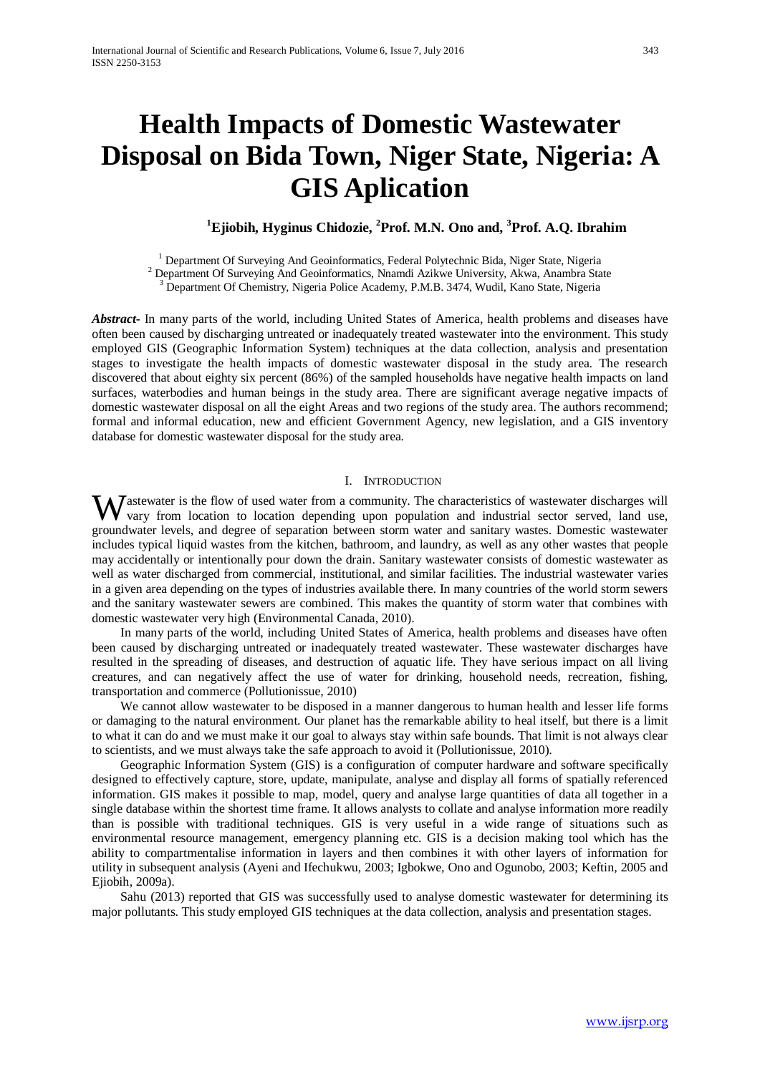# **Health Impacts of Domestic Wastewater Disposal on Bida Town, Niger State, Nigeria: A GIS Aplication**

# **1 Ejiobih, Hyginus Chidozie, <sup>2</sup> Prof. M.N. Ono and, <sup>3</sup> Prof. A.Q. Ibrahim**

<sup>1</sup> Department Of Surveying And Geoinformatics, Federal Polytechnic Bida, Niger State, Nigeria<br><sup>2</sup> Department Of Surveying And Geoinformatics, Nnamdi Azikwe University, Akwa, Anambra State<br><sup>3</sup> Department Of Chemistry, Nig

*Abstract***-** In many parts of the world, including United States of America, health problems and diseases have often been caused by discharging untreated or inadequately treated wastewater into the environment. This study employed GIS (Geographic Information System) techniques at the data collection, analysis and presentation stages to investigate the health impacts of domestic wastewater disposal in the study area. The research discovered that about eighty six percent (86%) of the sampled households have negative health impacts on land surfaces, waterbodies and human beings in the study area. There are significant average negative impacts of domestic wastewater disposal on all the eight Areas and two regions of the study area. The authors recommend; formal and informal education, new and efficient Government Agency, new legislation, and a GIS inventory database for domestic wastewater disposal for the study area.

## I. INTRODUCTION

Wastewater is the flow of used water from a community. The characteristics of wastewater discharges will vary from location to location depending upon population and industrial sector served, land use, vary from location to location depending upon population and industrial sector served, land use, groundwater levels, and degree of separation between storm water and sanitary wastes. Domestic wastewater includes typical liquid wastes from the kitchen, bathroom, and laundry, as well as any other wastes that people may accidentally or intentionally pour down the drain. Sanitary wastewater consists of domestic wastewater as well as water discharged from commercial, institutional, and similar facilities. The industrial wastewater varies in a given area depending on the types of industries available there. In many countries of the world storm sewers and the sanitary wastewater sewers are combined. This makes the quantity of storm water that combines with domestic wastewater very high (Environmental Canada, 2010).

 In many parts of the world, including United States of America, health problems and diseases have often been caused by discharging untreated or inadequately treated wastewater. These wastewater discharges have resulted in the spreading of diseases, and destruction of aquatic life. They have serious impact on all living creatures, and can negatively affect the use of water for drinking, household needs, recreation, fishing, transportation and commerce (Pollutionissue, 2010)

 We cannot allow wastewater to be disposed in a manner dangerous to human health and lesser life forms or damaging to the natural environment. Our planet has the remarkable ability to heal itself, but there is a limit to what it can do and we must make it our goal to always stay within safe bounds. That limit is not always clear to scientists, and we must always take the safe approach to avoid it (Pollutionissue, 2010).

 Geographic Information System (GIS) is a configuration of computer hardware and software specifically designed to effectively capture, store, update, manipulate, analyse and display all forms of spatially referenced information. GIS makes it possible to map, model, query and analyse large quantities of data all together in a single database within the shortest time frame. It allows analysts to collate and analyse information more readily than is possible with traditional techniques. GIS is very useful in a wide range of situations such as environmental resource management, emergency planning etc. GIS is a decision making tool which has the ability to compartmentalise information in layers and then combines it with other layers of information for utility in subsequent analysis (Ayeni and Ifechukwu, 2003; Igbokwe, Ono and Ogunobo, 2003; Keftin, 2005 and Ejiobih, 2009a).

 Sahu (2013) reported that GIS was successfully used to analyse domestic wastewater for determining its major pollutants. This study employed GIS techniques at the data collection, analysis and presentation stages.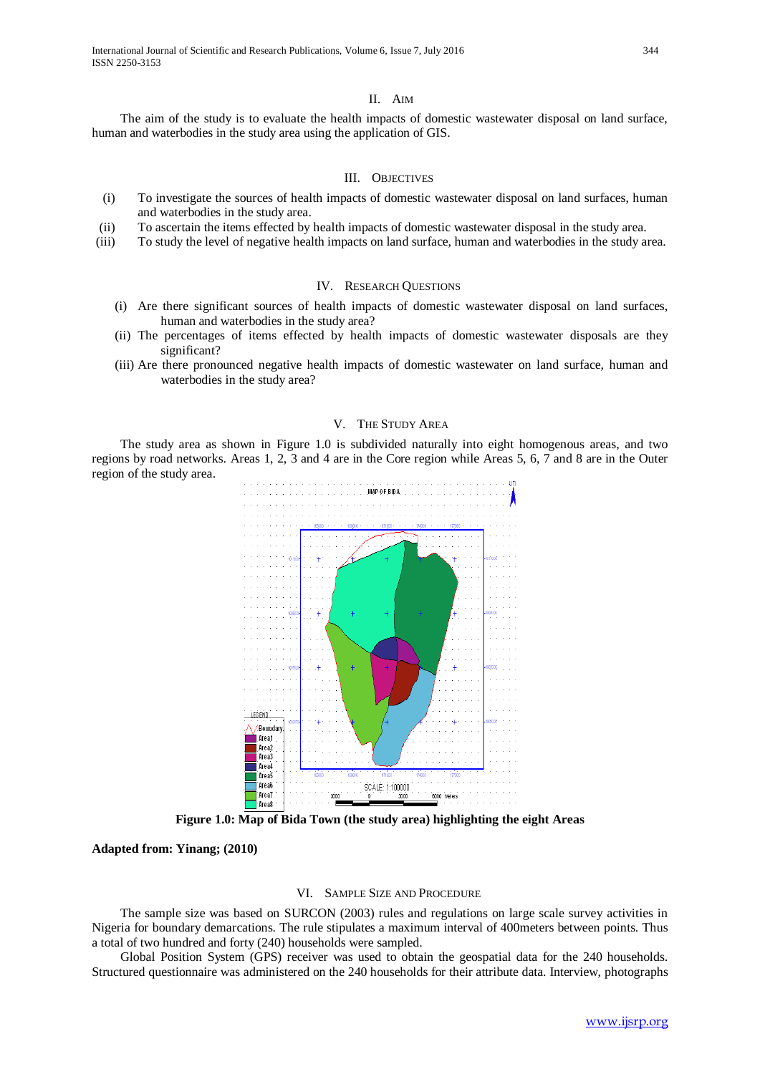The aim of the study is to evaluate the health impacts of domestic wastewater disposal on land surface, human and waterbodies in the study area using the application of GIS.

#### III. OBJECTIVES

- (i) To investigate the sources of health impacts of domestic wastewater disposal on land surfaces, human and waterbodies in the study area.
- (ii) To ascertain the items effected by health impacts of domestic wastewater disposal in the study area.
- (iii) To study the level of negative health impacts on land surface, human and waterbodies in the study area.

#### IV. RESEARCH QUESTIONS

- (i) Are there significant sources of health impacts of domestic wastewater disposal on land surfaces, human and waterbodies in the study area?
- (ii) The percentages of items effected by health impacts of domestic wastewater disposals are they significant?
- (iii) Are there pronounced negative health impacts of domestic wastewater on land surface, human and waterbodies in the study area?

#### V. THE STUDY AREA

 The study area as shown in Figure 1.0 is subdivided naturally into eight homogenous areas, and two regions by road networks. Areas 1, 2, 3 and 4 are in the Core region while Areas 5, 6, 7 and 8 are in the Outer region of the study area.



**Figure 1.0: Map of Bida Town (the study area) highlighting the eight Areas**

**Adapted from: Yinang; (2010)**

#### VI. SAMPLE SIZE AND PROCEDURE

 The sample size was based on SURCON (2003) rules and regulations on large scale survey activities in Nigeria for boundary demarcations. The rule stipulates a maximum interval of 400meters between points. Thus a total of two hundred and forty (240) households were sampled.

 Global Position System (GPS) receiver was used to obtain the geospatial data for the 240 households. Structured questionnaire was administered on the 240 households for their attribute data. Interview, photographs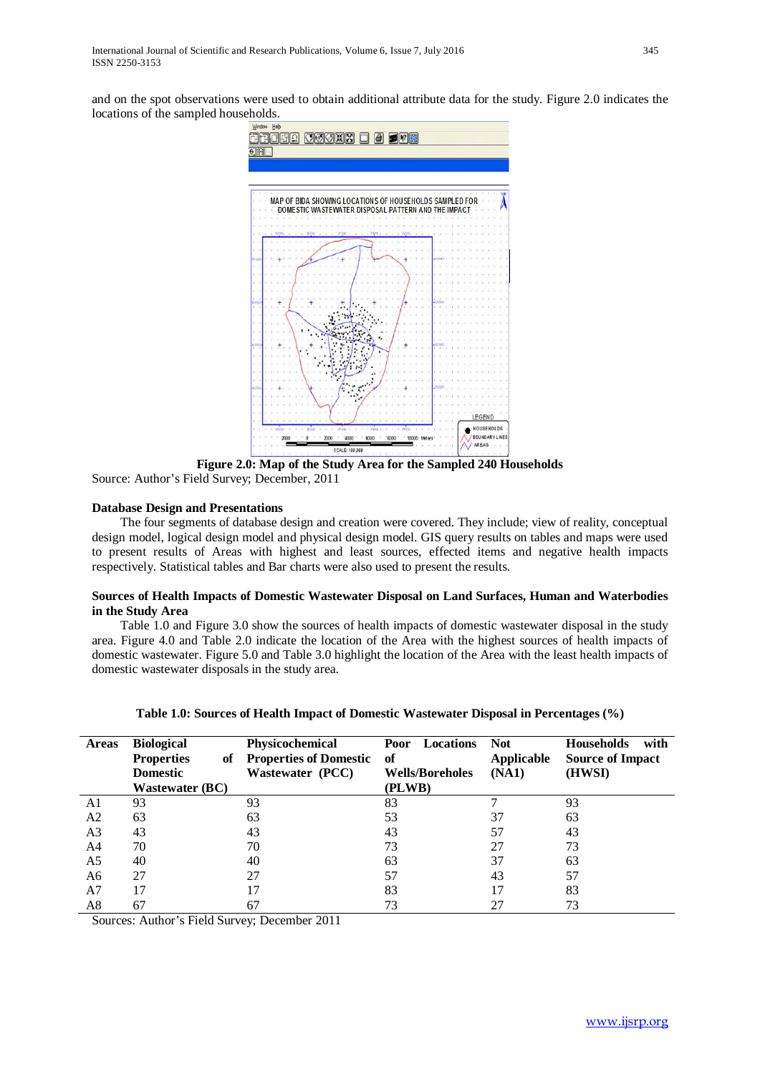and on the spot observations were used to obtain additional attribute data for the study. Figure 2.0 indicates the locations of the sampled households.



**Figure 2.0: Map of the Study Area for the Sampled 240 Households** Source: Author's Field Survey; December, 2011

## **Database Design and Presentations**

 The four segments of database design and creation were covered. They include; view of reality, conceptual design model, logical design model and physical design model. GIS query results on tables and maps were used to present results of Areas with highest and least sources, effected items and negative health impacts respectively. Statistical tables and Bar charts were also used to present the results.

## **Sources of Health Impacts of Domestic Wastewater Disposal on Land Surfaces, Human and Waterbodies in the Study Area**

 Table 1.0 and Figure 3.0 show the sources of health impacts of domestic wastewater disposal in the study area. Figure 4.0 and Table 2.0 indicate the location of the Area with the highest sources of health impacts of domestic wastewater. Figure 5.0 and Table 3.0 highlight the location of the Area with the least health impacts of domestic wastewater disposals in the study area.

| <b>Areas</b>   | <b>Biological</b><br><b>Properties</b><br>оf | Physicochemical<br><b>Properties of Domestic</b> | Locations<br>Poor<br>of | <b>Not</b><br><b>Applicable</b> | <b>Households</b><br>with<br><b>Source of Impact</b> |
|----------------|----------------------------------------------|--------------------------------------------------|-------------------------|---------------------------------|------------------------------------------------------|
|                | <b>Domestic</b>                              | <b>Wastewater (PCC)</b>                          | <b>Wells/Boreholes</b>  | (NA1)                           | (HWSI)                                               |
|                | <b>Wastewater (BC)</b>                       |                                                  | (PLWB)                  |                                 |                                                      |
| A1             | 93                                           | 93                                               | 83                      |                                 | 93                                                   |
| A <sub>2</sub> | 63                                           | 63                                               | 53                      | 37                              | 63                                                   |
| A <sub>3</sub> | 43                                           | 43                                               | 43                      | 57                              | 43                                                   |
| A4             | 70                                           | 70                                               | 73                      | 27                              | 73                                                   |
| A <sub>5</sub> | 40                                           | 40                                               | 63                      | 37                              | 63                                                   |
| A6             | 27                                           | 27                                               | 57                      | 43                              | 57                                                   |
| A <sub>7</sub> | 17                                           |                                                  | 83                      | 17                              | 83                                                   |
| A8             | 67                                           | 67                                               | 73                      | 27                              | 73                                                   |

**Table 1.0: Sources of Health Impact of Domestic Wastewater Disposal in Percentages (%)**

Sources: Author's Field Survey; December 2011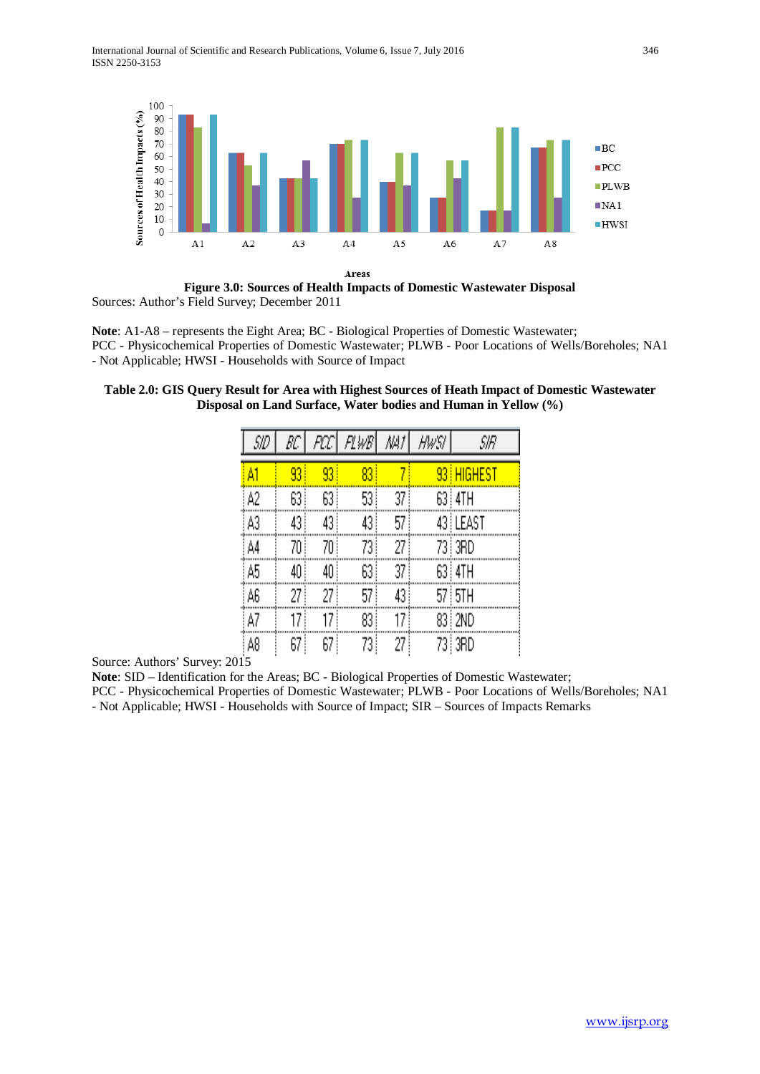

**Figure 3.0: Sources of Health Impacts of Domestic Wastewater Disposal** Sources: Author's Field Survey; December 2011

**Note**: A1-A8 – represents the Eight Area; BC - Biological Properties of Domestic Wastewater; PCC - Physicochemical Properties of Domestic Wastewater; PLWB - Poor Locations of Wells/Boreholes; NA1 - Not Applicable; HWSI - Households with Source of Impact

| Table 2.0: GIS Query Result for Area with Highest Sources of Heath Impact of Domestic Wastewater |  |
|--------------------------------------------------------------------------------------------------|--|
| Disposal on Land Surface, Water bodies and Human in Yellow (%)                                   |  |

| SID | BC   |      | FOC   FLWB | /W/  | HW SI | SIR                             |
|-----|------|------|------------|------|-------|---------------------------------|
| A1  | 93   | 93   | $_{83}$    |      |       | 93 HIGHEST                      |
| A2  | 63 ! | 63)  | 53 !       | 37   |       | 63 i 4TH                        |
| A3  | 43 ! | 43)  | 43)        | 57   |       | 43 LEAST                        |
| A4  | 70   | 70   | 73,        | 27   |       | 73 3RD                          |
| A5  | 40 ! | 40   | 63)        | 37   |       | 63 i 4TH                        |
| A6  | 27 ! | 27   | 57)        | 43 ! |       | $57\overline{\smash{\big)}\,5}$ |
| A7  | 17.  | 17   | 83!        | 17   |       | 83 : 2ND                        |
| A8  | 67 ! | 67 ! | 73)        | 27   |       | 73 3RD                          |

Source: Authors' Survey: 2015

**Note**: SID – Identification for the Areas; BC - Biological Properties of Domestic Wastewater;

PCC - Physicochemical Properties of Domestic Wastewater; PLWB - Poor Locations of Wells/Boreholes; NA1 - Not Applicable; HWSI - Households with Source of Impact; SIR – Sources of Impacts Remarks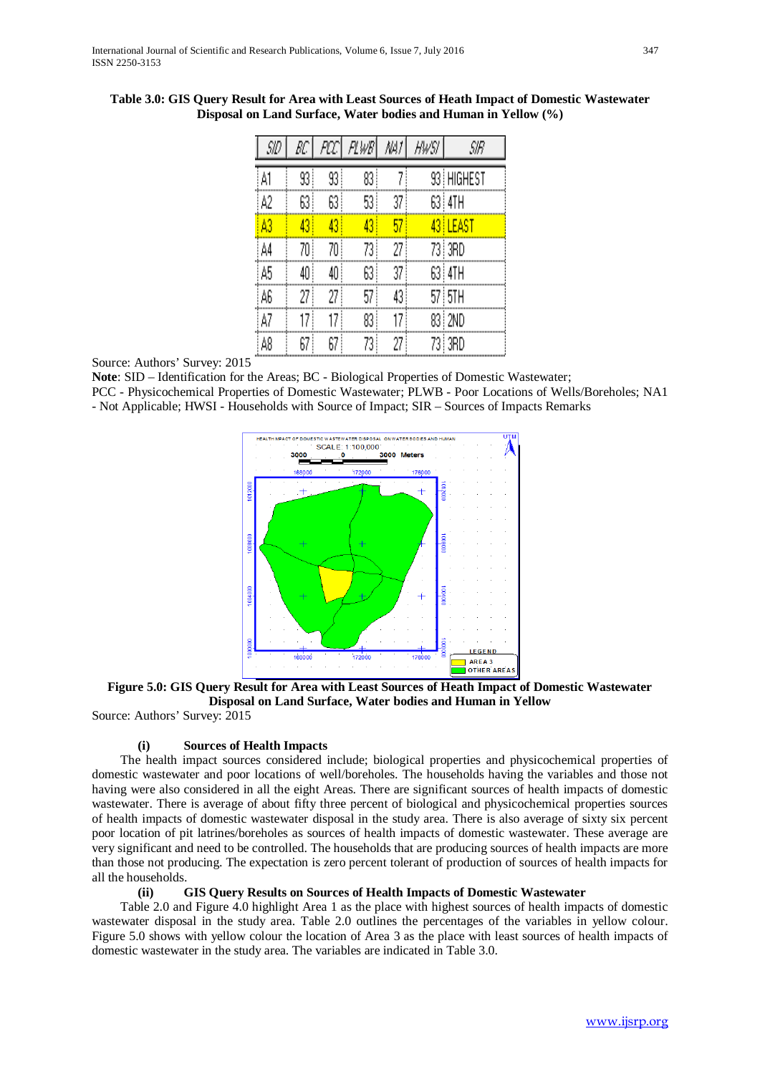| SID | ВC  | PCC. | FLWB | NA) | HWSI. | SIR        |
|-----|-----|------|------|-----|-------|------------|
| A1  | 93) | 93 ! | 83   |     |       | 93 HIGHEST |
| A2  | 63  | 63   | 53   | 37  |       | 63 I 4TH   |
| À3  | 43  | 43   | 43   | 57  |       | 43 LEAST   |
| A4  | 70  | 70   | 73!  | 27  |       | 73   3RD   |
| A5  | 40  | 40   | 63   | 37  |       | 63 I 4TH   |
| A6  | 27  | 27   | 57   | 43  |       | 57 STH     |
| A7  | 17  | 17   | 83   | 17  |       | 83   2ND   |
| A8  | 67  | 67   | 73 i | 27  |       | 73) 3RD    |

**Table 3.0: GIS Query Result for Area with Least Sources of Heath Impact of Domestic Wastewater Disposal on Land Surface, Water bodies and Human in Yellow (%)**

Source: Authors' Survey: 2015

**Note**: SID – Identification for the Areas; BC - Biological Properties of Domestic Wastewater;

PCC - Physicochemical Properties of Domestic Wastewater; PLWB - Poor Locations of Wells/Boreholes; NA1

- Not Applicable; HWSI - Households with Source of Impact; SIR – Sources of Impacts Remarks



**Figure 5.0: GIS Query Result for Area with Least Sources of Heath Impact of Domestic Wastewater Disposal on Land Surface, Water bodies and Human in Yellow**

Source: Authors' Survey: 2015

# **(i) Sources of Health Impacts**

 The health impact sources considered include; biological properties and physicochemical properties of domestic wastewater and poor locations of well/boreholes. The households having the variables and those not having were also considered in all the eight Areas. There are significant sources of health impacts of domestic wastewater. There is average of about fifty three percent of biological and physicochemical properties sources of health impacts of domestic wastewater disposal in the study area. There is also average of sixty six percent poor location of pit latrines/boreholes as sources of health impacts of domestic wastewater. These average are very significant and need to be controlled. The households that are producing sources of health impacts are more than those not producing. The expectation is zero percent tolerant of production of sources of health impacts for all the households.

### **(ii) GIS Query Results on Sources of Health Impacts of Domestic Wastewater**

 Table 2.0 and Figure 4.0 highlight Area 1 as the place with highest sources of health impacts of domestic wastewater disposal in the study area. Table 2.0 outlines the percentages of the variables in yellow colour. Figure 5.0 shows with yellow colour the location of Area 3 as the place with least sources of health impacts of domestic wastewater in the study area. The variables are indicated in Table 3.0.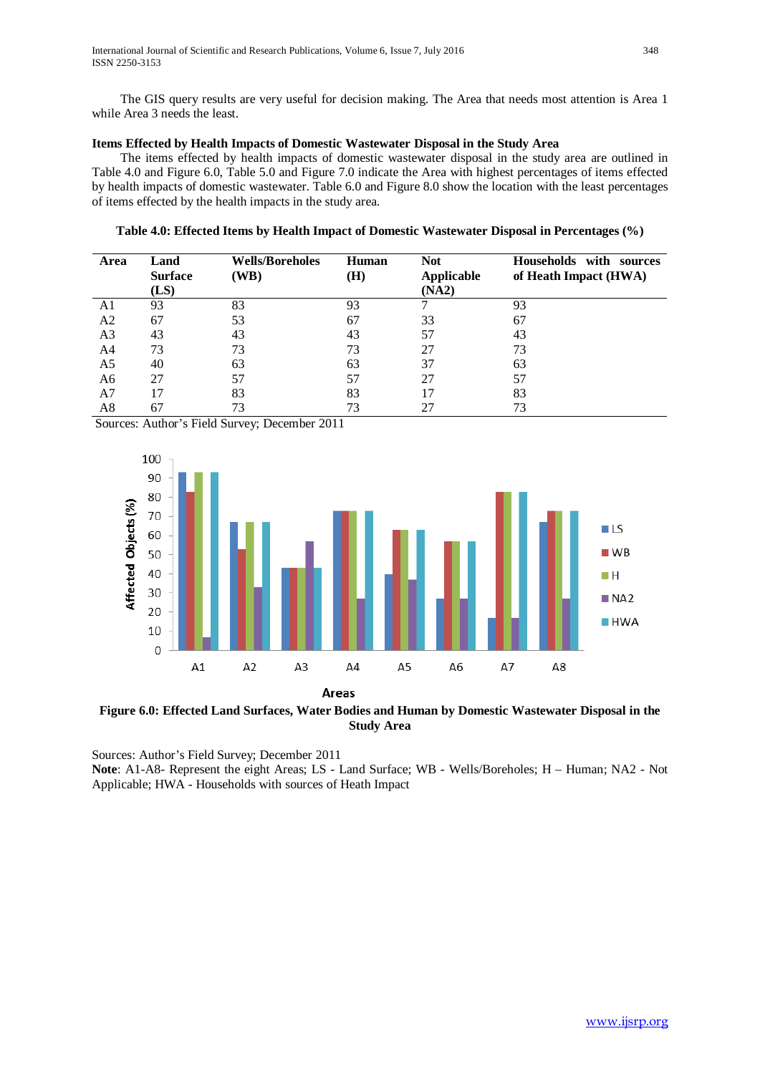The GIS query results are very useful for decision making. The Area that needs most attention is Area 1 while Area 3 needs the least.

# **Items Effected by Health Impacts of Domestic Wastewater Disposal in the Study Area**

 The items effected by health impacts of domestic wastewater disposal in the study area are outlined in Table 4.0 and Figure 6.0, Table 5.0 and Figure 7.0 indicate the Area with highest percentages of items effected by health impacts of domestic wastewater. Table 6.0 and Figure 8.0 show the location with the least percentages of items effected by the health impacts in the study area.

**Table 4.0: Effected Items by Health Impact of Domestic Wastewater Disposal in Percentages (%)**

| Area           | Land                   | <b>Wells/Boreholes</b> | Human | Not                        | Households with sources |
|----------------|------------------------|------------------------|-------|----------------------------|-------------------------|
|                | <b>Surface</b><br>(LS) | (WB)                   | (H)   | <b>Applicable</b><br>(NA2) | of Heath Impact (HWA)   |
|                |                        |                        |       |                            |                         |
| A1             | 93                     | 83                     | 93    |                            | 93                      |
| A <sub>2</sub> | 67                     | 53                     | 67    | 33                         | 67                      |
| A <sub>3</sub> | 43                     | 43                     | 43    | 57                         | 43                      |
| A4             | 73                     | 73                     | 73    | 27                         | 73                      |
| A5             | 40                     | 63                     | 63    | 37                         | 63                      |
| A6             | 27                     | 57                     | 57    | 27                         | 57                      |
| A7             | 17                     | 83                     | 83    | 17                         | 83                      |
| A8             | 67                     | 73                     | 73    | 27                         | 73                      |

Sources: Author's Field Survey; December 2011



**Figure 6.0: Effected Land Surfaces, Water Bodies and Human by Domestic Wastewater Disposal in the Study Area**

Sources: Author's Field Survey; December 2011 **Note**: A1-A8- Represent the eight Areas; LS - Land Surface; WB - Wells/Boreholes; H – Human; NA2 - Not Applicable; HWA - Households with sources of Heath Impact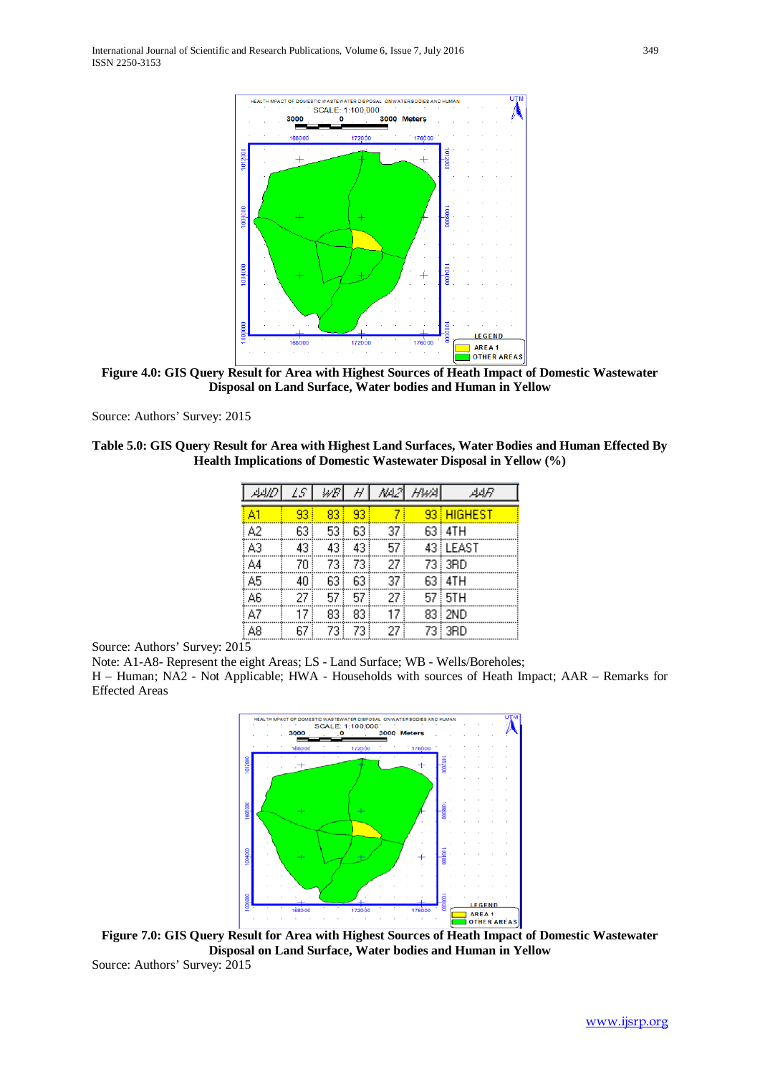

**Figure 4.0: GIS Query Result for Area with Highest Sources of Heath Impact of Domestic Wastewater Disposal on Land Surface, Water bodies and Human in Yellow**

Source: Authors' Survey: 2015

**Table 5.0: GIS Query Result for Area with Highest Land Surfaces, Water Bodies and Human Effected By Health Implications of Domestic Wastewater Disposal in Yellow (%)**

|    | LS | WB  | H  | ᄴ   | - HWA | جرايراير   |
|----|----|-----|----|-----|-------|------------|
| A1 | 93 | 83  | 93 |     |       | 93 HIGHEST |
| A2 | 63 | 53  | 63 | 37. |       | 63 i 4TH   |
| AЗ | 43 | 43. | 43 | 57  |       | 43 LEAST   |
| A4 | 70 | 73  | 73 | 27  |       | 73 i 3RD   |
| A5 | 40 | 63  | 63 | 37  |       | 63 i 4TH   |
| A6 | 27 | 57  | 57 | 27  |       | 57 i 5TH   |
| A7 | 17 | 83. | 83 | 17  |       | 83   2ND   |
| А8 | 67 | 73. | 73 | 27  |       | 73   3RD   |

Source: Authors' Survey: 2015

Note: A1-A8- Represent the eight Areas; LS - Land Surface; WB - Wells/Boreholes;

H – Human; NA2 - Not Applicable; HWA - Households with sources of Heath Impact; AAR – Remarks for Effected Areas



**Figure 7.0: GIS Query Result for Area with Highest Sources of Heath Impact of Domestic Wastewater Disposal on Land Surface, Water bodies and Human in Yellow** Source: Authors' Survey: 2015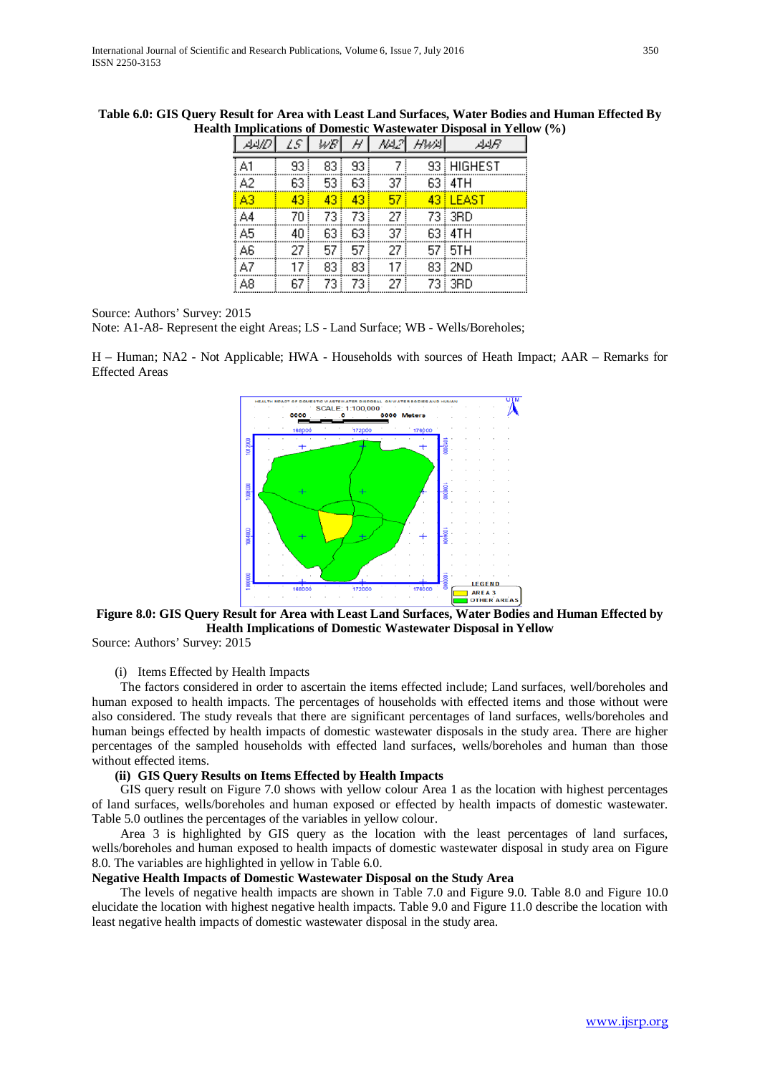|    |      | ₩B   |     |      | AAL2\ HWA\ | Aيربر      |
|----|------|------|-----|------|------------|------------|
| A1 | 93 ! | 83   | 93. | 7    |            | 93 HIGHEST |
| A2 | 63.  | 53   | 63  | 37 ! |            | 63   4TH   |
| A3 | 43   | 43.  | 43  | 57   |            | 43 EEAST   |
| А4 | 70   | 73 I | 73  | 27.  |            | 73   3RD   |
| A5 | 40   | 63   | 63  | 37   |            | 63   4TH   |
| A6 | 27 i | 57 ! | 57. | 27 ! |            | 57 i 5TH   |
| A7 | 17.  | 83 ! | 83  | 17.  |            | 83   2ND   |
| A8 | 67.  | 73   | 73  | 27.  |            | 73   3RD   |

**Table 6.0: GIS Query Result for Area with Least Land Surfaces, Water Bodies and Human Effected By Health Implications of Domestic Wastewater Disposal in Yellow (%)**

#### Source: Authors' Survey: 2015

Note: A1-A8- Represent the eight Areas; LS - Land Surface; WB - Wells/Boreholes;

H – Human; NA2 - Not Applicable; HWA - Households with sources of Heath Impact; AAR – Remarks for Effected Areas



## **Figure 8.0: GIS Query Result for Area with Least Land Surfaces, Water Bodies and Human Effected by Health Implications of Domestic Wastewater Disposal in Yellow**

Source: Authors' Survey: 2015

### (i) Items Effected by Health Impacts

 The factors considered in order to ascertain the items effected include; Land surfaces, well/boreholes and human exposed to health impacts. The percentages of households with effected items and those without were also considered. The study reveals that there are significant percentages of land surfaces, wells/boreholes and human beings effected by health impacts of domestic wastewater disposals in the study area. There are higher percentages of the sampled households with effected land surfaces, wells/boreholes and human than those without effected items.

### **(ii) GIS Query Results on Items Effected by Health Impacts**

 GIS query result on Figure 7.0 shows with yellow colour Area 1 as the location with highest percentages of land surfaces, wells/boreholes and human exposed or effected by health impacts of domestic wastewater. Table 5.0 outlines the percentages of the variables in yellow colour.

 Area 3 is highlighted by GIS query as the location with the least percentages of land surfaces, wells/boreholes and human exposed to health impacts of domestic wastewater disposal in study area on Figure 8.0. The variables are highlighted in yellow in Table 6.0.

### **Negative Health Impacts of Domestic Wastewater Disposal on the Study Area**

 The levels of negative health impacts are shown in Table 7.0 and Figure 9.0. Table 8.0 and Figure 10.0 elucidate the location with highest negative health impacts. Table 9.0 and Figure 11.0 describe the location with least negative health impacts of domestic wastewater disposal in the study area.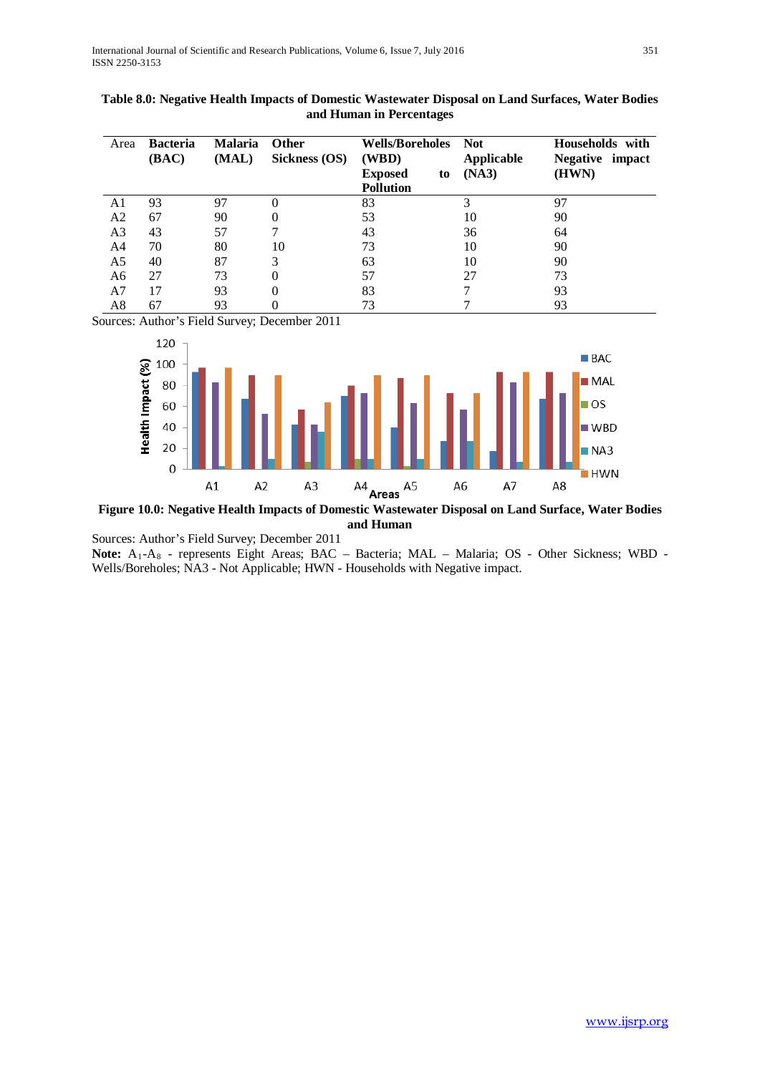| Area           | <b>Bacteria</b><br>(BAC) | <b>Malaria</b><br>(MAL) | <b>Other</b><br>Sickness (OS) | <b>Wells/Boreholes</b><br>(WBD)          | <b>Not</b><br>Applicable | Households with<br>Negative impact |
|----------------|--------------------------|-------------------------|-------------------------------|------------------------------------------|--------------------------|------------------------------------|
|                |                          |                         |                               | <b>Exposed</b><br>to<br><b>Pollution</b> | (NA3)                    | (HWN)                              |
| A1             | 93                       | 97                      |                               | 83                                       |                          | 97                                 |
| A2             | 67                       | 90                      |                               | 53                                       | 10                       | 90                                 |
| A <sub>3</sub> | 43                       | 57                      | 7                             | 43                                       | 36                       | 64                                 |
| A <sub>4</sub> | 70                       | 80                      | 10                            | 73                                       | 10                       | 90                                 |
| A <sub>5</sub> | 40                       | 87                      | 3                             | 63                                       | 10                       | 90                                 |
| A <sub>6</sub> | 27                       | 73                      |                               | 57                                       | 27                       | 73                                 |
| A7             | 17                       | 93                      |                               | 83                                       |                          | 93                                 |
| A8             | 67                       | 93                      |                               | 73                                       |                          | 93                                 |

# **Table 8.0: Negative Health Impacts of Domestic Wastewater Disposal on Land Surfaces, Water Bodies and Human in Percentages**

Sources: Author's Field Survey; December 2011



**Figure 10.0: Negative Health Impacts of Domestic Wastewater Disposal on Land Surface, Water Bodies and Human**

Sources: Author's Field Survey; December 2011

Note: A<sub>1</sub>-A<sub>8</sub> - represents Eight Areas; BAC – Bacteria; MAL – Malaria; OS - Other Sickness; WBD -Wells/Boreholes; NA3 - Not Applicable; HWN - Households with Negative impact.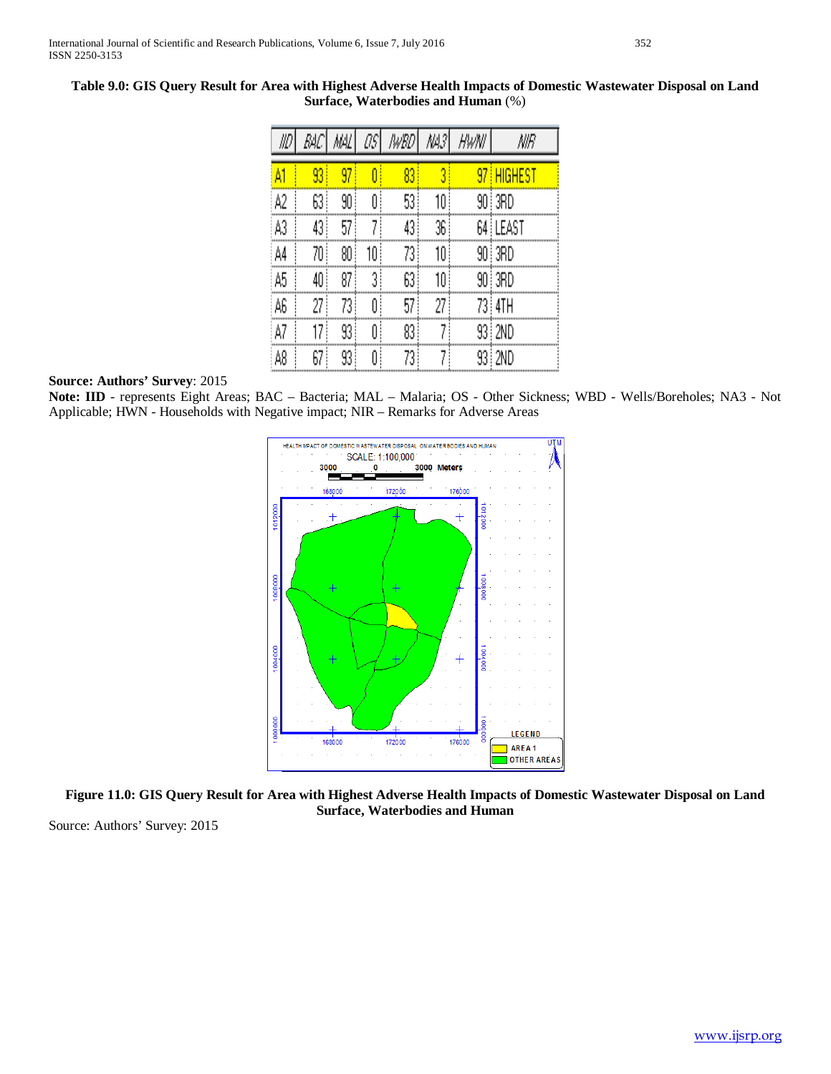| IID | RАC | MAL  | ŪŜ | WBD | 씨키 | HWNI | NIR        |
|-----|-----|------|----|-----|----|------|------------|
| ٨İ  | 93  | 97   |    | 83  | 3  |      | 97 HIGHEST |
| A2  | 63  | 90   | O  | 53! | 10 |      | 90   3RD   |
| A3  | 43. | 57   |    | 43, | 36 |      | 64 i LEAST |
| A4  | 70  | 80   | 10 | 73  | 10 |      | 90   3RD   |
| A5  | 40  | 87   | 3  | 63  | 10 |      | 90   3RD   |
| A6  | 27  | 73   | O  | 57  | 27 |      | 73   4TH   |
| A7  | 17  | 93 ! | O  | 83  |    |      | 93   2ND   |
| A8  | 67  | 93   | Ū  | 73  |    |      | 93 i 2ND   |

# **Table 9.0: GIS Query Result for Area with Highest Adverse Health Impacts of Domestic Wastewater Disposal on Land Surface, Waterbodies and Human** (%)

# **Source: Authors' Survey**: 2015

**Note: IID** - represents Eight Areas; BAC – Bacteria; MAL – Malaria; OS - Other Sickness; WBD - Wells/Boreholes; NA3 - Not Applicable; HWN - Households with Negative impact; NIR – Remarks for Adverse Areas



**Figure 11.0: GIS Query Result for Area with Highest Adverse Health Impacts of Domestic Wastewater Disposal on Land Surface, Waterbodies and Human**

Source: Authors' Survey: 2015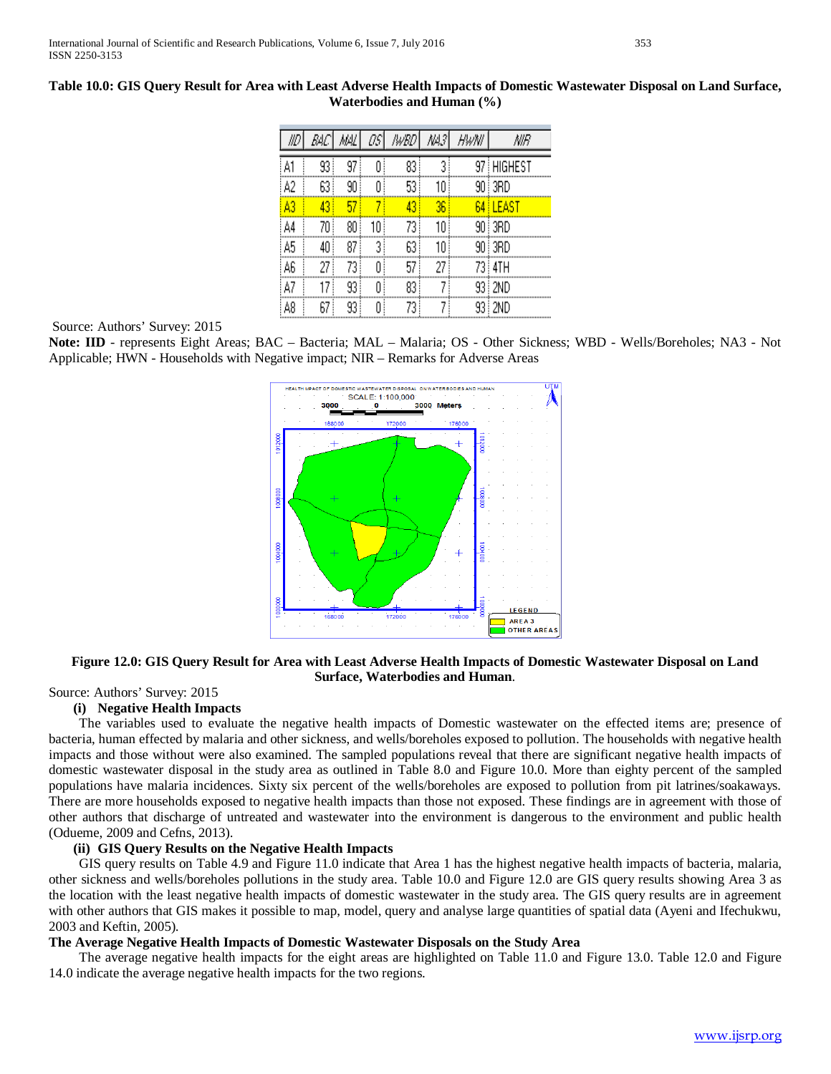|    | BЩ | MЩ | П5 | lwBD | NA3 | HwNl | NIR          |
|----|----|----|----|------|-----|------|--------------|
| A1 | 93 | 97 |    | 83   |     |      | 97   HIGHEST |
| A2 | 63 | 90 | Ū  | 53   | 10  |      | 90   3RD     |
| A3 | 43 | 57 |    | 43   | 36  | 64 ! | <b>LEAST</b> |
| A4 | 70 | 80 | 10 | 73   | 10  |      | 90 i 3RD     |
| A5 | 40 | 87 | 3  | 63   | 10  |      | 90 3RD       |
| A6 | 27 | 73 |    | 57   | 27  |      | 73 i 4TH     |
| A7 | 17 | 93 | Λ  | 83   |     |      | 93   2ND     |
| A8 | 67 | 93 | O  | 73   |     |      | 93   2ND     |

# **Table 10.0: GIS Query Result for Area with Least Adverse Health Impacts of Domestic Wastewater Disposal on Land Surface, Waterbodies and Human (%)**

Source: Authors' Survey: 2015

**Note: IID** - represents Eight Areas; BAC – Bacteria; MAL – Malaria; OS - Other Sickness; WBD - Wells/Boreholes; NA3 - Not Applicable; HWN - Households with Negative impact; NIR – Remarks for Adverse Areas



# **Figure 12.0: GIS Query Result for Area with Least Adverse Health Impacts of Domestic Wastewater Disposal on Land Surface, Waterbodies and Human**.

# Source: Authors' Survey: 2015

# **(i) Negative Health Impacts**

 The variables used to evaluate the negative health impacts of Domestic wastewater on the effected items are; presence of bacteria, human effected by malaria and other sickness, and wells/boreholes exposed to pollution. The households with negative health impacts and those without were also examined. The sampled populations reveal that there are significant negative health impacts of domestic wastewater disposal in the study area as outlined in Table 8.0 and Figure 10.0. More than eighty percent of the sampled populations have malaria incidences. Sixty six percent of the wells/boreholes are exposed to pollution from pit latrines/soakaways. There are more households exposed to negative health impacts than those not exposed. These findings are in agreement with those of other authors that discharge of untreated and wastewater into the environment is dangerous to the environment and public health (Odueme, 2009 and Cefns, 2013).

# **(ii) GIS Query Results on the Negative Health Impacts**

 GIS query results on Table 4.9 and Figure 11.0 indicate that Area 1 has the highest negative health impacts of bacteria, malaria, other sickness and wells/boreholes pollutions in the study area. Table 10.0 and Figure 12.0 are GIS query results showing Area 3 as the location with the least negative health impacts of domestic wastewater in the study area. The GIS query results are in agreement with other authors that GIS makes it possible to map, model, query and analyse large quantities of spatial data (Ayeni and Ifechukwu, 2003 and Keftin, 2005).

# **The Average Negative Health Impacts of Domestic Wastewater Disposals on the Study Area**

 The average negative health impacts for the eight areas are highlighted on Table 11.0 and Figure 13.0. Table 12.0 and Figure 14.0 indicate the average negative health impacts for the two regions.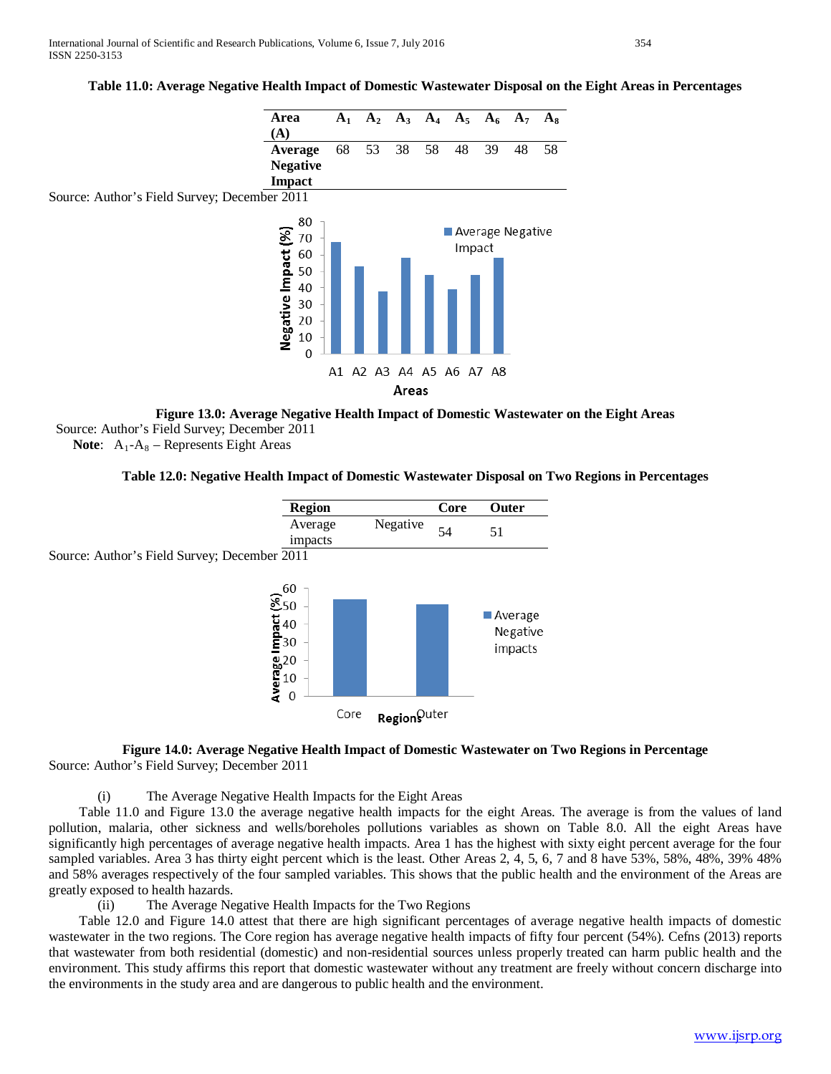# **Table 11.0: Average Negative Health Impact of Domestic Wastewater Disposal on the Eight Areas in Percentages**



**Figure 13.0: Average Negative Health Impact of Domestic Wastewater on the Eight Areas** Source: Author's Field Survey; December 2011 **Note:**  $A_1 - A_8$  – Represents Eight Areas

# **Table 12.0: Negative Health Impact of Domestic Wastewater Disposal on Two Regions in Percentages**



### **Figure 14.0: Average Negative Health Impact of Domestic Wastewater on Two Regions in Percentage** Source: Author's Field Survey; December 2011

(i) The Average Negative Health Impacts for the Eight Areas

 Table 11.0 and Figure 13.0 the average negative health impacts for the eight Areas. The average is from the values of land pollution, malaria, other sickness and wells/boreholes pollutions variables as shown on Table 8.0. All the eight Areas have significantly high percentages of average negative health impacts. Area 1 has the highest with sixty eight percent average for the four sampled variables. Area 3 has thirty eight percent which is the least. Other Areas 2, 4, 5, 6, 7 and 8 have 53%, 58%, 48%, 39% 48% and 58% averages respectively of the four sampled variables. This shows that the public health and the environment of the Areas are greatly exposed to health hazards.

(ii) The Average Negative Health Impacts for the Two Regions

 Table 12.0 and Figure 14.0 attest that there are high significant percentages of average negative health impacts of domestic wastewater in the two regions. The Core region has average negative health impacts of fifty four percent (54%). Cefns (2013) reports that wastewater from both residential (domestic) and non-residential sources unless properly treated can harm public health and the environment. This study affirms this report that domestic wastewater without any treatment are freely without concern discharge into the environments in the study area and are dangerous to public health and the environment.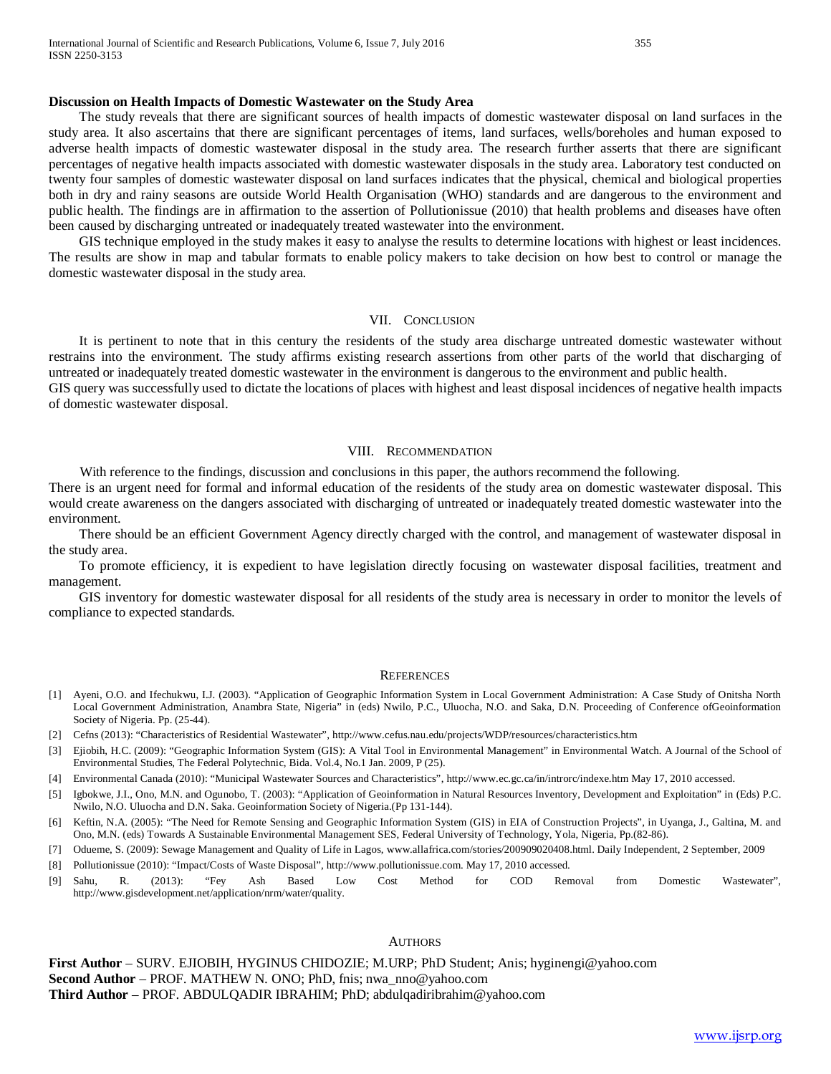#### **Discussion on Health Impacts of Domestic Wastewater on the Study Area**

 The study reveals that there are significant sources of health impacts of domestic wastewater disposal on land surfaces in the study area. It also ascertains that there are significant percentages of items, land surfaces, wells/boreholes and human exposed to adverse health impacts of domestic wastewater disposal in the study area. The research further asserts that there are significant percentages of negative health impacts associated with domestic wastewater disposals in the study area. Laboratory test conducted on twenty four samples of domestic wastewater disposal on land surfaces indicates that the physical, chemical and biological properties both in dry and rainy seasons are outside World Health Organisation (WHO) standards and are dangerous to the environment and public health. The findings are in affirmation to the assertion of Pollutionissue (2010) that health problems and diseases have often been caused by discharging untreated or inadequately treated wastewater into the environment.

 GIS technique employed in the study makes it easy to analyse the results to determine locations with highest or least incidences. The results are show in map and tabular formats to enable policy makers to take decision on how best to control or manage the domestic wastewater disposal in the study area.

## VII. CONCLUSION

 It is pertinent to note that in this century the residents of the study area discharge untreated domestic wastewater without restrains into the environment. The study affirms existing research assertions from other parts of the world that discharging of untreated or inadequately treated domestic wastewater in the environment is dangerous to the environment and public health.

GIS query was successfully used to dictate the locations of places with highest and least disposal incidences of negative health impacts of domestic wastewater disposal.

#### VIII. RECOMMENDATION

With reference to the findings, discussion and conclusions in this paper, the authors recommend the following.

There is an urgent need for formal and informal education of the residents of the study area on domestic wastewater disposal. This would create awareness on the dangers associated with discharging of untreated or inadequately treated domestic wastewater into the environment.

 There should be an efficient Government Agency directly charged with the control, and management of wastewater disposal in the study area.

 To promote efficiency, it is expedient to have legislation directly focusing on wastewater disposal facilities, treatment and management.

 GIS inventory for domestic wastewater disposal for all residents of the study area is necessary in order to monitor the levels of compliance to expected standards.

#### **REFERENCES**

- [1] Ayeni, O.O. and Ifechukwu, I.J. (2003). "Application of Geographic Information System in Local Government Administration: A Case Study of Onitsha North Local Government Administration, Anambra State, Nigeria" in (eds) Nwilo, P.C., Uluocha, N.O. and Saka, D.N. Proceeding of Conference ofGeoinformation Society of Nigeria. Pp. (25-44).
- [2] Cefns (2013): "Characteristics of Residential Wastewater", http://www.cefus.nau.edu/projects/WDP/resources/characteristics.htm
- [3] Ejiobih, H.C. (2009): "Geographic Information System (GIS): A Vital Tool in Environmental Management" in Environmental Watch. A Journal of the School of Environmental Studies, The Federal Polytechnic, Bida. Vol.4, No.1 Jan. 2009, P (25).
- [4] Environmental Canada (2010): "Municipal Wastewater Sources and Characteristics", http://www.ec.gc.ca/in/introrc/indexe.htm May 17, 2010 accessed.
- [5] Igbokwe, J.I., Ono, M.N. and Ogunobo, T. (2003): "Application of Geoinformation in Natural Resources Inventory, Development and Exploitation" in (Eds) P.C. Nwilo, N.O. Uluocha and D.N. Saka. Geoinformation Society of Nigeria.(Pp 131-144).
- [6] Keftin, N.A. (2005): "The Need for Remote Sensing and Geographic Information System (GIS) in EIA of Construction Projects", in Uyanga, J., Galtina, M. and Ono, M.N. (eds) Towards A Sustainable Environmental Management SES, Federal University of Technology, Yola, Nigeria, Pp.(82-86).
- [7] Odueme, S. (2009): Sewage Management and Quality of Life in Lagos, www.allafrica.com/stories/200909020408.html. Daily Independent, 2 September, 2009
- [8] Pollutionissue (2010): "Impact/Costs of Waste Disposal", http://www.pollutionissue.com. May 17, 2010 accessed.
- [9] Sahu, R. (2013): "Fey Ash Based Low Cost Method for COD Removal from Domestic Wastewater", http://www.gisdevelopment.net/application/nrm/water/quality.

#### AUTHORS

**First Author** – SURV. EJIOBIH, HYGINUS CHIDOZIE; M.URP; PhD Student; Anis; hyginengi@yahoo.com **Second Author** – PROF. MATHEW N. ONO; PhD, fnis; nwa\_nno@yahoo.com **Third Author** – PROF. ABDULQADIR IBRAHIM; PhD; abdulqadiribrahim@yahoo.com